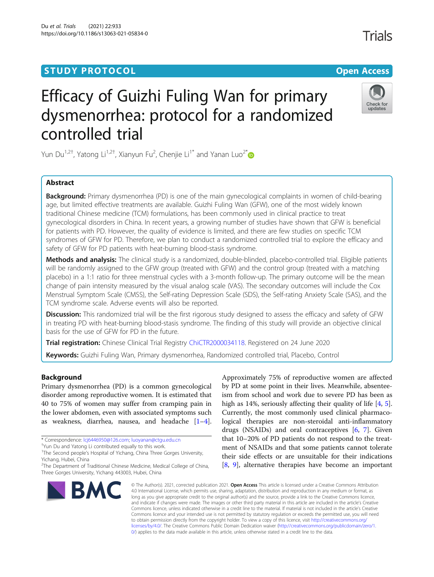### **STUDY PROTOCOL CONSUMING THE RESERVE ACCESS**

## **Trials**



# Efficacy of Guizhi Fuling Wan for primary dysmenorrhea: protocol for a randomized controlled trial

Yun Du<sup>1,2†</sup>, Yatong Li<sup>1,2†</sup>, Xianyun Fu<sup>2</sup>, Chenjie Li<sup>1[\\*](http://orcid.org/0000-0001-8345-6270)</sup> and Yanan Luo<sup>2\*</sup>

#### Abstract

**Background:** Primary dysmenorrhea (PD) is one of the main gynecological complaints in women of child-bearing age, but limited effective treatments are available. Guizhi Fuling Wan (GFW), one of the most widely known traditional Chinese medicine (TCM) formulations, has been commonly used in clinical practice to treat gynecological disorders in China. In recent years, a growing number of studies have shown that GFW is beneficial for patients with PD. However, the quality of evidence is limited, and there are few studies on specific TCM syndromes of GFW for PD. Therefore, we plan to conduct a randomized controlled trial to explore the efficacy and safety of GFW for PD patients with heat-burning blood-stasis syndrome.

Methods and analysis: The clinical study is a randomized, double-blinded, placebo-controlled trial. Eligible patients will be randomly assigned to the GFW group (treated with GFW) and the control group (treated with a matching placebo) in a 1:1 ratio for three menstrual cycles with a 3-month follow-up. The primary outcome will be the mean change of pain intensity measured by the visual analog scale (VAS). The secondary outcomes will include the Cox Menstrual Symptom Scale (CMSS), the Self-rating Depression Scale (SDS), the Self-rating Anxiety Scale (SAS), and the TCM syndrome scale. Adverse events will also be reported.

Discussion: This randomized trial will be the first rigorous study designed to assess the efficacy and safety of GFW in treating PD with heat-burning blood-stasis syndrome. The finding of this study will provide an objective clinical basis for the use of GFW for PD in the future.

Trial registration: Chinese Clinical Trial Registry [ChiCTR2000034118.](http://www.chictr.org.cn/showproj.aspx?proj=55641) Registered on 24 June 2020

Keywords: Guizhi Fuling Wan, Primary dysmenorrhea, Randomized controlled trial, Placebo, Control

#### Background

Primary dysmenorrhea (PD) is a common gynecological disorder among reproductive women. It is estimated that 40 to 75% of women may suffer from cramping pain in the lower abdomen, even with associated symptoms such as weakness, diarrhea, nausea, and headache [\[1](#page-7-0)–[4](#page-7-0)].

<sup>2</sup>The Department of Traditional Chinese Medicine, Medical College of China, Three Gorges University, Yichang 443003, Hubei, China



Approximately 75% of reproductive women are affected by PD at some point in their lives. Meanwhile, absenteeism from school and work due to severe PD has been as high as 14%, seriously affecting their quality of life [\[4](#page-7-0), [5](#page-7-0)]. Currently, the most commonly used clinical pharmacological therapies are non-steroidal anti-inflammatory drugs (NSAIDs) and oral contraceptives [[6](#page-7-0), [7\]](#page-7-0). Given that 10–20% of PD patients do not respond to the treatment of NSAIDs and that some patients cannot tolerate their side effects or are unsuitable for their indications [[8,](#page-7-0) [9\]](#page-7-0), alternative therapies have become an important

© The Author(s). 2021, corrected publication 2021. Open Access This article is licensed under a Creative Commons Attribution 4.0 International License, which permits use, sharing, adaptation, distribution and reproduction in any medium or format, as long as you give appropriate credit to the original author(s) and the source, provide a link to the Creative Commons licence, and indicate if changes were made. The images or other third party material in this article are included in the article's Creative Commons licence, unless indicated otherwise in a credit line to the material. If material is not included in the article's Creative Commons licence and your intended use is not permitted by statutory regulation or exceeds the permitted use, you will need to obtain permission directly from the copyright holder. To view a copy of this licence, visit [http://creativecommons.org/](http://creativecommons.org/licenses/by/4.0/) [licenses/by/4.0/.](http://creativecommons.org/licenses/by/4.0/) The Creative Commons Public Domain Dedication waiver ([http://creativecommons.org/publicdomain/zero/1.](http://creativecommons.org/publicdomain/zero/1.0/) [0/\)](http://creativecommons.org/publicdomain/zero/1.0/) applies to the data made available in this article, unless otherwise stated in a credit line to the data.

<sup>\*</sup> Correspondence: [lcj6446950@126.com;](mailto:lcj6446950@126.com) [luoyanan@ctgu.edu.cn](mailto:luoyanan@ctgu.edu.cn) †

<sup>&</sup>lt;sup>+</sup>Yun Du and Yatong Li contributed equally to this work.

<sup>&</sup>lt;sup>1</sup>The Second people's Hospital of Yichang, China Three Gorges University, Yichang, Hubei, China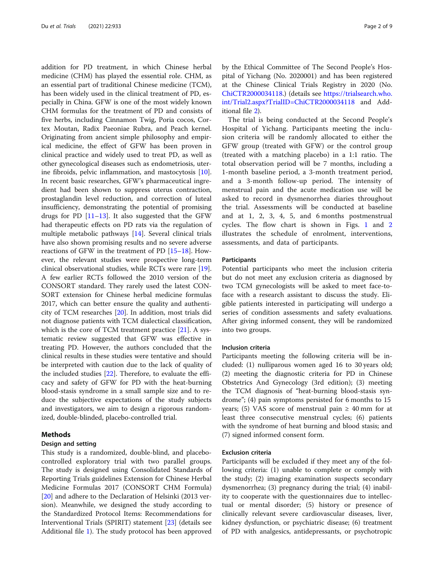addition for PD treatment, in which Chinese herbal medicine (CHM) has played the essential role. CHM, as an essential part of traditional Chinese medicine (TCM), has been widely used in the clinical treatment of PD, especially in China. GFW is one of the most widely known CHM formulas for the treatment of PD and consists of five herbs, including Cinnamon Twig, Poria cocos, Cortex Moutan, Radix Paeoniae Rubra, and Peach kernel. Originating from ancient simple philosophy and empirical medicine, the effect of GFW has been proven in clinical practice and widely used to treat PD, as well as other gynecological diseases such as endometriosis, uterine fibroids, pelvic inflammation, and mastocytosis [\[10](#page-7-0)]. In recent basic researches, GFW's pharmaceutical ingredient had been shown to suppress uterus contraction, prostaglandin level reduction, and correction of luteal insufficiency, demonstrating the potential of promising drugs for PD  $[11–13]$  $[11–13]$  $[11–13]$ . It also suggested that the GFW had therapeutic effects on PD rats via the regulation of multiple metabolic pathways [\[14](#page-7-0)]. Several clinical trials have also shown promising results and no severe adverse reactions of GFW in the treatment of PD [\[15](#page-7-0)–[18](#page-7-0)]. However, the relevant studies were prospective long-term clinical observational studies, while RCTs were rare [\[19](#page-7-0)]. A few earlier RCTs followed the 2010 version of the CONSORT standard. They rarely used the latest CON-SORT extension for Chinese herbal medicine formulas 2017, which can better ensure the quality and authenticity of TCM researches [\[20](#page-7-0)]. In addition, most trials did not diagnose patients with TCM dialectical classification, which is the core of TCM treatment practice  $[21]$ . A systematic review suggested that GFW was effective in treating PD. However, the authors concluded that the clinical results in these studies were tentative and should be interpreted with caution due to the lack of quality of the included studies [[22\]](#page-7-0). Therefore, to evaluate the efficacy and safety of GFW for PD with the heat-burning blood-stasis syndrome in a small sample size and to reduce the subjective expectations of the study subjects and investigators, we aim to design a rigorous randomized, double-blinded, placebo-controlled trial.

#### Methods

#### Design and setting

This study is a randomized, double-blind, and placebocontrolled exploratory trial with two parallel groups. The study is designed using Consolidated Standards of Reporting Trials guidelines Extension for Chinese Herbal Medicine Formulas 2017 (CONSORT CHM Formula) [[20\]](#page-7-0) and adhere to the Declaration of Helsinki (2013 version). Meanwhile, we designed the study according to the Standardized Protocol Items: Recommendations for Interventional Trials (SPIRIT) statement [\[23](#page-7-0)] (details see Additional file [1](#page-6-0)). The study protocol has been approved by the Ethical Committee of The Second People's Hospital of Yichang (No. 2020001) and has been registered at the Chinese Clinical Trials Registry in 2020 (No. [ChiCTR2000034118.](https://trialsearch.who.int/Trial2.aspx?TrialID=ChiCTR2000034118)) (details see [https://trialsearch.who.](https://trialsearch.who.int/Trial2.aspx?TrialID=ChiCTR2000034118) [int/Trial2.aspx?TrialID=ChiCTR2000034118](https://trialsearch.who.int/Trial2.aspx?TrialID=ChiCTR2000034118) and Additional file [2\)](#page-6-0).

The trial is being conducted at the Second People's Hospital of Yichang. Participants meeting the inclusion criteria will be randomly allocated to either the GFW group (treated with GFW) or the control group (treated with a matching placebo) in a 1:1 ratio. The total observation period will be 7 months, including a 1-month baseline period, a 3-month treatment period, and a 3-month follow-up period. The intensity of menstrual pain and the acute medication use will be asked to record in dysmenorrhea diaries throughout the trial. Assessments will be conducted at baseline and at 1, 2, 3, 4, 5, and 6 months postmenstrual cycles. The flow chart is shown in Figs. [1](#page-2-0) and [2](#page-3-0) illustrates the schedule of enrolment, interventions, assessments, and data of participants.

#### **Participants**

Potential participants who meet the inclusion criteria but do not meet any exclusion criteria as diagnosed by two TCM gynecologists will be asked to meet face-toface with a research assistant to discuss the study. Eligible patients interested in participating will undergo a series of condition assessments and safety evaluations. After giving informed consent, they will be randomized into two groups.

#### Inclusion criteria

Participants meeting the following criteria will be included: (1) nulliparous women aged 16 to 30 years old; (2) meeting the diagnostic criteria for PD in Chinese Obstetrics And Gynecology (3rd edition); (3) meeting the TCM diagnosis of "heat-burning blood-stasis syndrome"; (4) pain symptoms persisted for 6 months to 15 years; (5) VAS score of menstrual pain  $\geq$  40 mm for at least three consecutive menstrual cycles; (6) patients with the syndrome of heat burning and blood stasis; and (7) signed informed consent form.

#### Exclusion criteria

Participants will be excluded if they meet any of the following criteria: (1) unable to complete or comply with the study; (2) imaging examination suspects secondary dysmenorrhea; (3) pregnancy during the trial; (4) inability to cooperate with the questionnaires due to intellectual or mental disorder; (5) history or presence of clinically relevant severe cardiovascular diseases, liver, kidney dysfunction, or psychiatric disease; (6) treatment of PD with analgesics, antidepressants, or psychotropic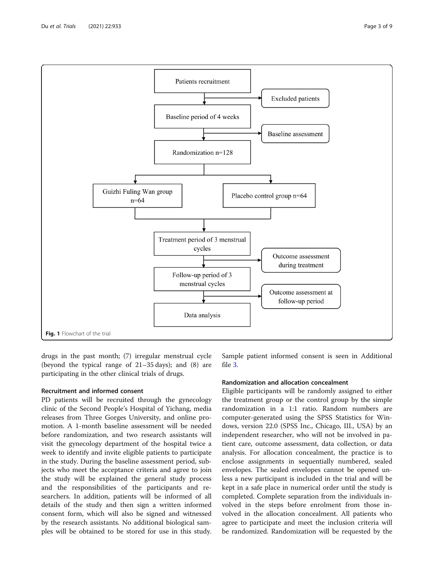drugs in the past month; (7) irregular menstrual cycle (beyond the typical range of 21–35 days); and (8) are participating in the other clinical trials of drugs.

#### Recruitment and informed consent

PD patients will be recruited through the gynecology clinic of the Second People's Hospital of Yichang, media releases from Three Gorges University, and online promotion. A 1-month baseline assessment will be needed before randomization, and two research assistants will visit the gynecology department of the hospital twice a week to identify and invite eligible patients to participate in the study. During the baseline assessment period, subjects who meet the acceptance criteria and agree to join the study will be explained the general study process and the responsibilities of the participants and researchers. In addition, patients will be informed of all details of the study and then sign a written informed consent form, which will also be signed and witnessed by the research assistants. No additional biological samples will be obtained to be stored for use in this study.

Sample patient informed consent is seen in Additional file [3.](#page-6-0)

#### Randomization and allocation concealment

Eligible participants will be randomly assigned to either the treatment group or the control group by the simple randomization in a 1:1 ratio. Random numbers are computer-generated using the SPSS Statistics for Windows, version 22.0 (SPSS Inc., Chicago, III., USA) by an independent researcher, who will not be involved in patient care, outcome assessment, data collection, or data analysis. For allocation concealment, the practice is to enclose assignments in sequentially numbered, sealed envelopes. The sealed envelopes cannot be opened unless a new participant is included in the trial and will be kept in a safe place in numerical order until the study is completed. Complete separation from the individuals involved in the steps before enrolment from those involved in the allocation concealment. All patients who agree to participate and meet the inclusion criteria will be randomized. Randomization will be requested by the

<span id="page-2-0"></span>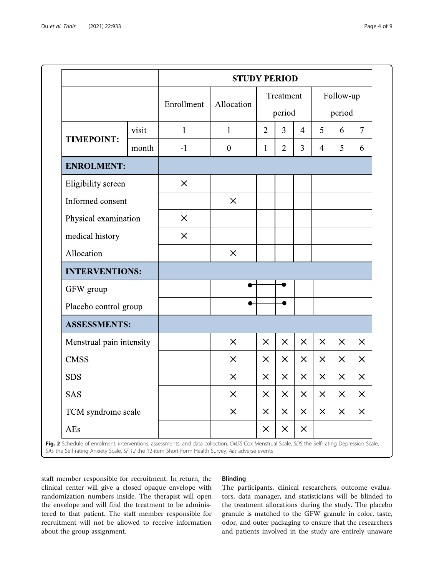<span id="page-3-0"></span>

|                          |       | <b>STUDY PERIOD</b>      |                |                     |                |                |                     |          |                         |  |
|--------------------------|-------|--------------------------|----------------|---------------------|----------------|----------------|---------------------|----------|-------------------------|--|
|                          |       | Enrollment<br>Allocation |                | Treatment<br>period |                |                | Follow-up<br>period |          |                         |  |
| <b>TIMEPOINT:</b>        | visit | $\mathbf{1}$             | $\mathbf{1}$   | $\overline{2}$      | $\overline{3}$ | $\overline{4}$ | 5                   | 6        | $\overline{7}$          |  |
|                          | month | $-1$                     | $\overline{0}$ | 1                   | $\overline{2}$ | 3              | $\overline{4}$      | 5        | 6                       |  |
| <b>ENROLMENT:</b>        |       |                          |                |                     |                |                |                     |          |                         |  |
| Eligibility screen       |       | $\times$                 |                |                     |                |                |                     |          |                         |  |
| Informed consent         |       |                          | $\times$       |                     |                |                |                     |          |                         |  |
| Physical examination     |       | $\times$                 |                |                     |                |                |                     |          |                         |  |
| medical history          |       | $\times$                 |                |                     |                |                |                     |          |                         |  |
| Allocation               |       |                          | $\times$       |                     |                |                |                     |          |                         |  |
| <b>INTERVENTIONS:</b>    |       |                          |                |                     |                |                |                     |          |                         |  |
| GFW group                |       |                          |                |                     |                |                |                     |          |                         |  |
| Placebo control group    |       |                          |                |                     |                |                |                     |          |                         |  |
| <b>ASSESSMENTS:</b>      |       |                          |                |                     |                |                |                     |          |                         |  |
| Menstrual pain intensity |       |                          | $\times$       | $\times$            | $\times$       | $\times$       | $\times$            | $\times$ | $\times$                |  |
| <b>CMSS</b>              |       |                          | $\times$       | $\times$            | $\times$       | $\times$       | $\times$            | $\times$ | $\times$                |  |
| <b>SDS</b>               |       |                          | $\times$       | $\times$            | $\times$       | $\times$       | $\times$            | $\times$ | $\times$                |  |
| <b>SAS</b>               |       |                          | $\times$       | $\times$            | $\times$       | $\times$       | $\times$            | $\times$ | $\overline{\mathsf{X}}$ |  |
| TCM syndrome scale       |       |                          | $\times$       | $\times$            | $\times$       | $\times$       | $\times$            | $\times$ | $\times$                |  |
| AEs                      |       |                          |                | $\times$            | $\times$       | $\times$       |                     |          |                         |  |

Fig. 2 Schedule of enrolment, interventions, assessments, and data collection. CMSS Cox Menstrual Scale, SDS the Self-rating Depression Scale, SAS the Self-rating Anxiety Scale, SF-12 the 12-item Short-Form Health Survey, AEs adverse events

staff member responsible for recruitment. In return, the clinical center will give a closed opaque envelope with randomization numbers inside. The therapist will open the envelope and will find the treatment to be administered to that patient. The staff member responsible for recruitment will not be allowed to receive information about the group assignment.

#### Blinding

The participants, clinical researchers, outcome evaluators, data manager, and statisticians will be blinded to the treatment allocations during the study. The placebo granule is matched to the GFW granule in color, taste, odor, and outer packaging to ensure that the researchers and patients involved in the study are entirely unaware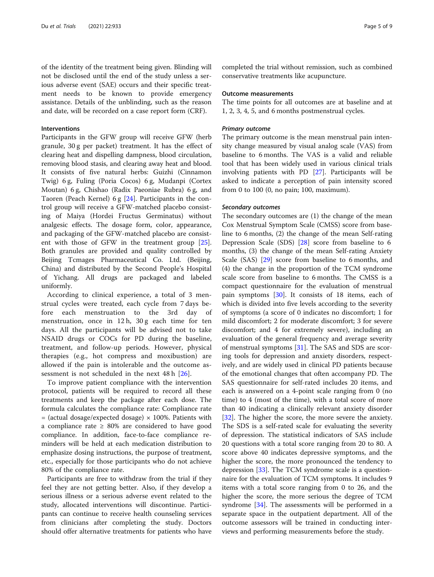of the identity of the treatment being given. Blinding will not be disclosed until the end of the study unless a serious adverse event (SAE) occurs and their specific treatment needs to be known to provide emergency assistance. Details of the unblinding, such as the reason and date, will be recorded on a case report form (CRF).

#### Interventions

Participants in the GFW group will receive GFW (herb granule, 30 g per packet) treatment. It has the effect of clearing heat and dispelling dampness, blood circulation, removing blood stasis, and clearing away heat and blood. It consists of five natural herbs: Guizhi (Cinnamon Twig) 6 g, Fuling (Poria Cocos) 6 g, Mudanpi (Cortex Moutan) 6 g, Chishao (Radix Paeoniae Rubra) 6 g, and Taoren (Peach Kernel) 6 g [\[24\]](#page-7-0). Participants in the control group will receive a GFW-matched placebo consisting of Maiya (Hordei Fructus Germinatus) without analgesic effects. The dosage form, color, appearance, and packaging of the GFW-matched placebo are consistent with those of GFW in the treatment group [\[25](#page-7-0)]. Both granules are provided and quality controlled by Beijing Tcmages Pharmaceutical Co. Ltd. (Beijing, China) and distributed by the Second People's Hospital of Yichang. All drugs are packaged and labeled uniformly.

According to clinical experience, a total of 3 menstrual cycles were treated, each cycle from 7 days before each menstruation to the 3rd day of menstruation, once in 12 h, 30 g each time for ten days. All the participants will be advised not to take NSAID drugs or COCs for PD during the baseline, treatment, and follow-up periods. However, physical therapies (e.g., hot compress and moxibustion) are allowed if the pain is intolerable and the outcome assessment is not scheduled in the next 48 h [[26\]](#page-7-0).

To improve patient compliance with the intervention protocol, patients will be required to record all these treatments and keep the package after each dose. The formula calculates the compliance rate: Compliance rate  $=$  (actual dosage/expected dosage)  $\times$  100%. Patients with a compliance rate  $\geq 80\%$  are considered to have good compliance. In addition, face-to-face compliance reminders will be held at each medication distribution to emphasize dosing instructions, the purpose of treatment, etc., especially for those participants who do not achieve 80% of the compliance rate.

Participants are free to withdraw from the trial if they feel they are not getting better. Also, if they develop a serious illness or a serious adverse event related to the study, allocated interventions will discontinue. Participants can continue to receive health counseling services from clinicians after completing the study. Doctors should offer alternative treatments for patients who have completed the trial without remission, such as combined conservative treatments like acupuncture.

#### Outcome measurements

The time points for all outcomes are at baseline and at 1, 2, 3, 4, 5, and 6 months postmenstrual cycles.

#### Primary outcome

The primary outcome is the mean menstrual pain intensity change measured by visual analog scale (VAS) from baseline to 6 months. The VAS is a valid and reliable tool that has been widely used in various clinical trials involving patients with PD [[27](#page-7-0)]. Participants will be asked to indicate a perception of pain intensity scored from 0 to 100 (0, no pain; 100, maximum).

#### Secondary outcomes

The secondary outcomes are (1) the change of the mean Cox Menstrual Symptom Scale (CMSS) score from baseline to 6 months, (2) the change of the mean Self-rating Depression Scale (SDS) [\[28](#page-7-0)] score from baseline to 6 months, (3) the change of the mean Self-rating Anxiety Scale (SAS) [\[29\]](#page-7-0) score from baseline to 6 months, and (4) the change in the proportion of the TCM syndrome scale score from baseline to 6 months. The CMSS is a compact questionnaire for the evaluation of menstrual pain symptoms [\[30](#page-8-0)]. It consists of 18 items, each of which is divided into five levels according to the severity of symptoms (a score of 0 indicates no discomfort; 1 for mild discomfort; 2 for moderate discomfort; 3 for severe discomfort; and 4 for extremely severe), including an evaluation of the general frequency and average severity of menstrual symptoms [\[31](#page-8-0)]. The SAS and SDS are scoring tools for depression and anxiety disorders, respectively, and are widely used in clinical PD patients because of the emotional changes that often accompany PD. The SAS questionnaire for self-rated includes 20 items, and each is answered on a 4-point scale ranging from 0 (no time) to 4 (most of the time), with a total score of more than 40 indicating a clinically relevant anxiety disorder [[32\]](#page-8-0). The higher the score, the more severe the anxiety. The SDS is a self-rated scale for evaluating the severity of depression. The statistical indicators of SAS include 20 questions with a total score ranging from 20 to 80. A score above 40 indicates depressive symptoms, and the higher the score, the more pronounced the tendency to depression [[33](#page-8-0)]. The TCM syndrome scale is a questionnaire for the evaluation of TCM symptoms. It includes 9 items with a total score ranging from 0 to 26, and the higher the score, the more serious the degree of TCM syndrome [[34\]](#page-8-0). The assessments will be performed in a separate space in the outpatient department. All of the outcome assessors will be trained in conducting interviews and performing measurements before the study.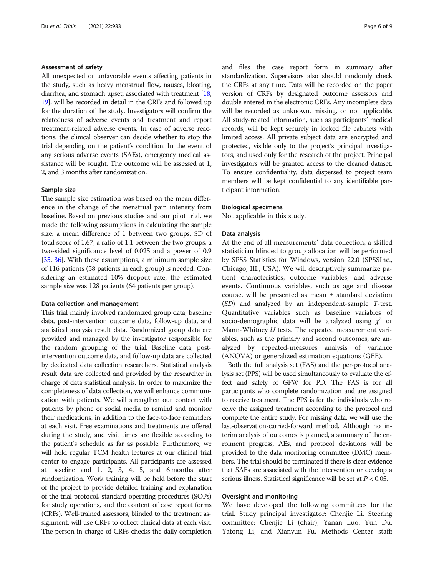#### Assessment of safety

All unexpected or unfavorable events affecting patients in the study, such as heavy menstrual flow, nausea, bloating, diarrhea, and stomach upset, associated with treatment [\[18](#page-7-0), [19](#page-7-0)], will be recorded in detail in the CRFs and followed up for the duration of the study. Investigators will confirm the relatedness of adverse events and treatment and report treatment-related adverse events. In case of adverse reactions, the clinical observer can decide whether to stop the trial depending on the patient's condition. In the event of any serious adverse events (SAEs), emergency medical assistance will be sought. The outcome will be assessed at 1, 2, and 3 months after randomization.

#### Sample size

The sample size estimation was based on the mean difference in the change of the menstrual pain intensity from baseline. Based on previous studies and our pilot trial, we made the following assumptions in calculating the sample size: a mean difference of 1 between two groups, SD of total score of 1.67, a ratio of 1:1 between the two groups, a two-sided significance level of 0.025 and a power of 0.9 [[35](#page-8-0), [36](#page-8-0)]. With these assumptions, a minimum sample size of 116 patients (58 patients in each group) is needed. Considering an estimated 10% dropout rate, the estimated sample size was 128 patients (64 patients per group).

#### Data collection and management

This trial mainly involved randomized group data, baseline data, post-intervention outcome data, follow-up data, and statistical analysis result data. Randomized group data are provided and managed by the investigator responsible for the random grouping of the trial. Baseline data, postintervention outcome data, and follow-up data are collected by dedicated data collection researchers. Statistical analysis result data are collected and provided by the researcher in charge of data statistical analysis. In order to maximize the completeness of data collection, we will enhance communication with patients. We will strengthen our contact with patients by phone or social media to remind and monitor their medications, in addition to the face-to-face reminders at each visit. Free examinations and treatments are offered during the study, and visit times are flexible according to the patient's schedule as far as possible. Furthermore, we will hold regular TCM health lectures at our clinical trial center to engage participants. All participants are assessed at baseline and 1, 2, 3, 4, 5, and 6 months after randomization. Work training will be held before the start of the project to provide detailed training and explanation of the trial protocol, standard operating procedures (SOPs) for study operations, and the content of case report forms (CRFs). Well-trained assessors, blinded to the treatment assignment, will use CRFs to collect clinical data at each visit. The person in charge of CRFs checks the daily completion and files the case report form in summary after standardization. Supervisors also should randomly check the CRFs at any time. Data will be recorded on the paper version of CRFs by designated outcome assessors and double entered in the electronic CRFs. Any incomplete data will be recorded as unknown, missing, or not applicable. All study-related information, such as participants' medical records, will be kept securely in locked file cabinets with limited access. All private subject data are encrypted and protected, visible only to the project's principal investigators, and used only for the research of the project. Principal investigators will be granted access to the cleaned dataset. To ensure confidentiality, data dispersed to project team members will be kept confidential to any identifiable participant information.

#### Biological specimens

Not applicable in this study.

#### Data analysis

At the end of all measurements' data collection, a skilled statistician blinded to group allocation will be performed by SPSS Statistics for Windows, version 22.0 (SPSSInc., Chicago, III., USA). We will descriptively summarize patient characteristics, outcome variables, and adverse events. Continuous variables, such as age and disease course, will be presented as mean ± standard deviation (SD) and analyzed by an independent-sample T-test. Quantitative variables such as baseline variables of socio-demographic data will be analyzed using  $\chi^2$  or Mann-Whitney  $U$  tests. The repeated measurement variables, such as the primary and second outcomes, are analyzed by repeated-measures analysis of variance (ANOVA) or generalized estimation equations (GEE).

Both the full analysis set (FAS) and the per-protocol analysis set (PPS) will be used simultaneously to evaluate the effect and safety of GFW for PD. The FAS is for all participants who complete randomization and are assigned to receive treatment. The PPS is for the individuals who receive the assigned treatment according to the protocol and complete the entire study. For missing data, we will use the last-observation-carried-forward method. Although no interim analysis of outcomes is planned, a summary of the enrolment progress, AEs, and protocol deviations will be provided to the data monitoring committee (DMC) members. The trial should be terminated if there is clear evidence that SAEs are associated with the intervention or develop a serious illness. Statistical significance will be set at  $P < 0.05$ .

#### Oversight and monitoring

We have developed the following committees for the trial. Study principal investigator: Chenjie Li. Steering committee: Chenjie Li (chair), Yanan Luo, Yun Du, Yatong Li, and Xianyun Fu. Methods Center staff: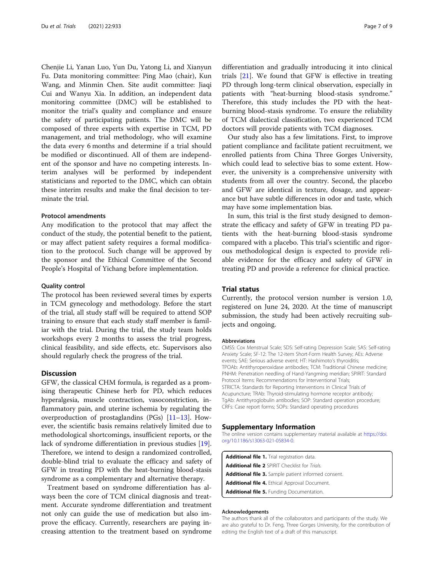<span id="page-6-0"></span>Chenjie Li, Yanan Luo, Yun Du, Yatong Li, and Xianyun Fu. Data monitoring committee: Ping Mao (chair), Kun Wang, and Minmin Chen. Site audit committee: Jiaqi Cui and Wanyu Xia. In addition, an independent data monitoring committee (DMC) will be established to monitor the trial's quality and compliance and ensure the safety of participating patients. The DMC will be composed of three experts with expertise in TCM, PD management, and trial methodology, who will examine the data every 6 months and determine if a trial should be modified or discontinued. All of them are independent of the sponsor and have no competing interests. Interim analyses will be performed by independent statisticians and reported to the DMC, which can obtain these interim results and make the final decision to terminate the trial.

#### Protocol amendments

Any modification to the protocol that may affect the conduct of the study, the potential benefit to the patient, or may affect patient safety requires a formal modification to the protocol. Such change will be approved by the sponsor and the Ethical Committee of the Second People's Hospital of Yichang before implementation.

#### Quality control

The protocol has been reviewed several times by experts in TCM gynecology and methodology. Before the start of the trial, all study staff will be required to attend SOP training to ensure that each study staff member is familiar with the trial. During the trial, the study team holds workshops every 2 months to assess the trial progress, clinical feasibility, and side effects, etc. Supervisors also should regularly check the progress of the trial.

#### **Discussion**

GFW, the classical CHM formula, is regarded as a promising therapeutic Chinese herb for PD, which reduces hyperalgesia, muscle contraction, vasoconstriction, inflammatory pain, and uterine ischemia by regulating the overproduction of prostaglandins (PGs) [[11](#page-7-0)–[13](#page-7-0)]. However, the scientific basis remains relatively limited due to methodological shortcomings, insufficient reports, or the lack of syndrome differentiation in previous studies [\[19](#page-7-0)]. Therefore, we intend to design a randomized controlled, double-blind trial to evaluate the efficacy and safety of GFW in treating PD with the heat-burning blood-stasis syndrome as a complementary and alternative therapy.

Treatment based on syndrome differentiation has always been the core of TCM clinical diagnosis and treatment. Accurate syndrome differentiation and treatment not only can guide the use of medication but also improve the efficacy. Currently, researchers are paying increasing attention to the treatment based on syndrome differentiation and gradually introducing it into clinical trials  $[21]$  $[21]$ . We found that GFW is effective in treating PD through long-term clinical observation, especially in patients with "heat-burning blood-stasis syndrome." Therefore, this study includes the PD with the heatburning blood-stasis syndrome. To ensure the reliability of TCM dialectical classification, two experienced TCM doctors will provide patients with TCM diagnoses.

Our study also has a few limitations. First, to improve patient compliance and facilitate patient recruitment, we enrolled patients from China Three Gorges University, which could lead to selective bias to some extent. However, the university is a comprehensive university with students from all over the country. Second, the placebo and GFW are identical in texture, dosage, and appearance but have subtle differences in odor and taste, which may have some implementation bias.

In sum, this trial is the first study designed to demonstrate the efficacy and safety of GFW in treating PD patients with the heat-burning blood-stasis syndrome compared with a placebo. This trial's scientific and rigorous methodological design is expected to provide reliable evidence for the efficacy and safety of GFW in treating PD and provide a reference for clinical practice.

#### Trial status

Currently, the protocol version number is version 1.0, registered on June 24, 2020. At the time of manuscript submission, the study had been actively recruiting subjects and ongoing.

#### **Abbreviations**

CMSS: Cox Menstrual Scale; SDS: Self-rating Depression Scale; SAS: Self-rating Anxiety Scale; SF-12: The 12-item Short-Form Health Survey; AEs: Adverse events; SAE: Serious adverse event; HT: Hashimoto's thyroiditis; TPOAb: Antithyroperoxidase antibodies; TCM: Traditional Chinese medicine; PNHM: Penetration needling of Hand-Yangming meridian; SPIRIT: Standard Protocol Items: Recommendations for Interventional Trials; STRICTA: Standards for Reporting Interventions in Clinical Trials of Acupuncture; TRAb: Thyroid-stimulating hormone receptor antibody; TgAb: Antithyroglobulin antibodies; SOP: Standard operation procedure; CRFs: Case report forms; SOPs: Standard operating procedures

#### Supplementary Information

The online version contains supplementary material available at [https://doi.](https://doi.org/10.1186/s13063-021-05834-0) [org/10.1186/s13063-021-05834-0.](https://doi.org/10.1186/s13063-021-05834-0)

| Additional file 1. Trial registration data.                |
|------------------------------------------------------------|
| <b>Additional file 2 SPIRIT Checklist for Trials.</b>      |
| <b>Additional file 3.</b> Sample patient informed consent. |
| <b>Additional file 4.</b> Ethical Approval Document.       |
| <b>Additional file 5. Funding Documentation.</b>           |

#### Acknowledgements

The authors thank all of the collaborators and participants of the study. We are also grateful to Dr. Feng, Three Gorges University, for the contribution of editing the English text of a draft of this manuscript.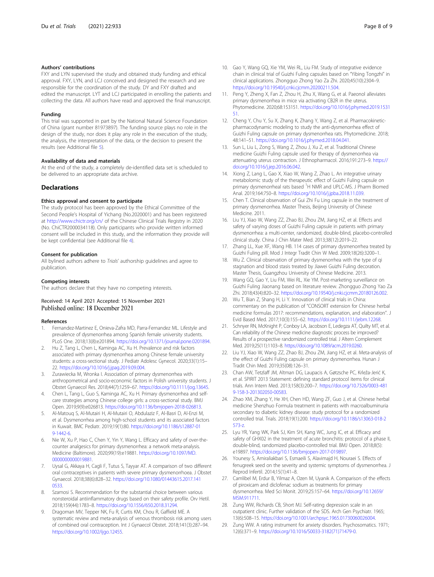#### <span id="page-7-0"></span>Authors' contributions

FXY and LYN supervised the study and obtained study funding and ethical approval. FXY, LYN, and LCJ conceived and designed the research and are responsible for the coordination of the study. DY and FXY drafted and edited the manuscript. LYT and LCJ participated in enrolling the patients and collecting the data. All authors have read and approved the final manuscript.

#### Funding

This trial was supported in part by the National Natural Science Foundation of China (grant number 81973897). The funding source plays no role in the design of the study, nor does it play any role in the execution of the study, the analysis, the interpretation of the data, or the decision to present the results (see Additional file [5\)](#page-6-0).

#### Availability of data and materials

At the end of the study, a completely de-identified data set is scheduled to be delivered to an appropriate data archive.

#### **Declarations**

#### Ethics approval and consent to participate

The study protocol has been approved by the Ethical Committee of the Second People's Hospital of Yichang (No.2020001) and has been registered at <http://www.chictr.org/cn/> of the Chinese Clinical Trials Registry in 2020 (No. ChiCTR2000034118). Only participants who provide written informed consent will be included in this study, and the information they provide will be kept confidential (see Additional file [4](#page-6-0)).

#### Consent for publication

All bylined authors adhere to Trials' authorship guidelines and agree to publication.

#### Competing interests

The authors declare that they have no competing interests.

#### Received: 14 April 2021 Accepted: 15 November 2021 Published online: 18 December 2021

#### References

- 1. Fernandez-Martinez E, Onieva-Zafra MD, Parra-Fernandez ML. Lifestyle and prevalence of dysmenorrhea among Spanish female university students. PLoS One. 2018;13(8):e201894. [https://doi.org/10.1371/journal.pone.0201894.](https://doi.org/10.1371/journal.pone.0201894)
- 2. Hu Z, Tang L, Chen L, Kaminga AC, Xu H. Prevalence and risk factors associated with primary dysmenorrhea among Chinese female university students: a cross-sectional study. J Pediatr Adolesc Gynecol. 2020;33(1):15– 22. <https://doi.org/10.1016/j.jpag.2019.09.004>.
- Zurawiecka M, Wronka I. Association of primary dysmenorrhea with anthropometrical and socio-economic factors in Polish university students. J Obstet Gynaecol Res. 2018;44(7):1259–67. [https://doi.org/10.1111/jog.13645.](https://doi.org/10.1111/jog.13645)
- 4. Chen L, Tang L, Guo S, Kaminga AC, Xu H. Primary dysmenorrhea and selfcare strategies among Chinese college girls: a cross-sectional study. BMJ Open. 2019;9(9):e026813. <https://doi.org/10.1136/bmjopen-2018-026813>.
- 5. Al-Matouq S, Al-Mutairi H, Al-Mutairi O, Abdulaziz F, Al-Basri D, Al-Enzi M, et al. Dysmenorrhea among high-school students and its associated factors in Kuwait. BMC Pediatr. 2019;19(1):80. [https://doi.org/10.1186/s12887-01](https://doi.org/10.1186/s12887-019-1442-6) [9-1442-6](https://doi.org/10.1186/s12887-019-1442-6).
- 6. Nie W, Xu P, Hao C, Chen Y, Yin Y, Wang L. Efficacy and safety of over-thecounter analgesics for primary dysmenorrhea: a network meta-analysis. Medicine (Baltimore). 2020;99(19):e19881. [https://doi.org/10.1097/MD.](https://doi.org/10.1097/MD.0000000000019881) [0000000000019881](https://doi.org/10.1097/MD.0000000000019881)
- 7. Uysal G, Akkaya H, Cagli F, Tutus S, Tayyar AT. A comparison of two different oral contraceptives in patients with severe primary dysmenorrhoea. J Obstet Gynaecol. 2018;38(6):828–32. [https://doi.org/10.1080/01443615.2017.141](https://doi.org/10.1080/01443615.2017.1410533) [0533](https://doi.org/10.1080/01443615.2017.1410533).
- 8. Szamosi S. Recommendation for the substantial choice between various nonsteroidal antiinflammatory drugs based on their safety profile. Orv Hetil. 2018;159(44):1783–8. [https://doi.org/10.1556/650.2018.31294.](https://doi.org/10.1556/650.2018.31294)
- Dragoman MV, Tepper NK, Fu R, Curtis KM, Chou R, Gaffield ME. A systematic review and meta-analysis of venous thrombosis risk among users of combined oral contraception. Int J Gynaecol Obstet. 2018;141(3):287–94. [https://doi.org/10.1002/ijgo.12455.](https://doi.org/10.1002/ijgo.12455)
- 10. Gao Y, Wang GQ, Xie YM, Wei RL, Liu FM. Study of integrative evidence chain in clinical trial of Guizhi Fuling capsules based on "Yibing Tongzhi" in clinical applications. Zhongguo Zhong Yao Za Zhi. 2020;45(10):2304–9. [https://doi.org/10.19540/j.cnki.cjcmm.20200211.504.](https://doi.org/10.19540/j.cnki.cjcmm.20200211.504)
- 11. Peng Y, Zheng X, Fan Z, Zhou H, Zhu X, Wang G, et al. Paeonol alleviates primary dysmenorrhea in mice via activating CB2R in the uterus. Phytomedicine. 2020;68:153151. [https://doi.org/10.1016/j.phymed.2019.1531](https://doi.org/10.1016/j.phymed.2019.153151) [51.](https://doi.org/10.1016/j.phymed.2019.153151)
- 12. Cheng Y, Chu Y, Su X, Zhang K, Zhang Y, Wang Z, et al. Pharmacokineticpharmacodynamic modeling to study the anti-dysmenorrhea effect of Guizhi Fuling capsule on primary dysmenorrhea rats. Phytomedicine. 2018; 48:141–51. [https://doi.org/10.1016/j.phymed.2018.04.041.](https://doi.org/10.1016/j.phymed.2018.04.041)
- 13. Sun L, Liu L, Zong S, Wang Z, Zhou J, Xu Z, et al. Traditional Chinese medicine Guizhi Fuling capsule used for therapy of dysmenorrhea via attenuating uterus contraction. J Ethnopharmacol. 2016;191:273–9. [https://](https://doi.org/10.1016/j.jep.2016.06.042) [doi.org/10.1016/j.jep.2016.06.042.](https://doi.org/10.1016/j.jep.2016.06.042)
- 14. Xiong Z, Lang L, Gao X, Xiao W, Wang Z, Zhao L. An integrative urinary metabolomic study of the therapeutic effect of Guizhi Fuling capsule on primary dysmenorrheal rats based <sup>1</sup>H NMR and UPLC-MS. J Pharm Biomed Anal. 2019;164:750–8. <https://doi.org/10.1016/j.jpba.2018.11.039>.
- 15. Chen T. Clinical observation of Gui Zhi Fu Ling capsule in the treatment of primary dysmenorrhea. Master Thesis, Beijing University of Chinese Medicine. 2011.
- 16. Liu YJ, Xiao W, Wang ZZ, Zhao BJ, Zhou ZM, Jiang HZ, et al. Effects and safety of varying doses of Guizhi Fuling capsule in patients with primary dysmenorrhea: a multi-center, randomized, double-blind, placebo-controlled clinical study. China J Chin Mater Med. 2013;38(12):2019–22.
- 17. Zhang LL, Xue XF, Wang HB. 114 cases of primary dysmenorrhea treated by Guizhi Fuling pill. Mod J Integr Tradit Chin W Med. 2009;18(26):3200–1.
- 18. Wu Z. Clinical observation of primary dysmenorrhea with the type of qi stagnation and blood stasis treated by Jiawei Guizhi Fuling decoration. Master Thesis, Guangzhou University of Chinese Medicine. 2013.
- 19. Wang GQ, Gao Y, Liu FM, Wei RL, Xie YM. Post-marketing surveillance on Guizhi Fuling Jiaonang based on literature review. Zhongguo Zhong Yao Za Zhi. 2018;43(4):820–32. <https://doi.org/10.19540/j.cnki.cjcmm.20180126.002>.
- 20. Wu T, Bian Z, Shang H, Li Y. Innovation of clinical trials in China: commentary on the publication of "CONSORT extension for Chinese herbal medicine formulas 2017: recommendations, explanation, and elaboration". J Evid Based Med. 2017;10(3):155–62. <https://doi.org/10.1111/jebm.12268>.
- 21. Schnyer RN, McKnight P, Conboy LA, Jacobson E, Ledegza AT, Quilty MT, et al. Can reliability of the Chinese medicine diagnostic process be improved? Results of a prospective randomized controlled trial. J Altern Complement Med. 2019;25(11):1103–8. <https://doi.org/10.1089/acm.2019.0260>.
- 22. Liu YJ, Xiao W, Wang ZZ, Zhao BJ, Zhou ZM, Jiang HZ, et al. Meta-analysis of the effect of Guizhi Fuling capsule on primary dysmenorrhea. Hunan J Tradit Chin Med. 2019;35(08):126–31.
- 23. Chan AW, Tetzlaff JM, Altman DG, Laupacis A, Gøtzsche PC, Krleža-Jerić K, et al. SPIRIT 2013 Statement: defining standard protocol items for clinical trials. Ann Intern Med. 2013;158(3):200–7. [https://doi.org/10.7326/0003-481](https://doi.org/10.7326/0003-4819-158-3-201302050-00583) [9-158-3-201302050-00583.](https://doi.org/10.7326/0003-4819-158-3-201302050-00583)
- 24. Zhao XM, Zhang Y, He XH, Chen HD, Wang ZF, Guo J, et al. Chinese herbal medicine Shenzhuo Formula treatment in patients with macroalbuminuria secondary to diabetic kidney disease: study protocol for a randomized controlled trial. Trials. 2018;19(1):200. [https://doi.org/10.1186/s13063-018-2](https://doi.org/10.1186/s13063-018-2573-z) [573-z.](https://doi.org/10.1186/s13063-018-2573-z)
- 25. Lyu YR, Yang WK, Park SJ, Kim SH, Kang WC, Jung IC, et al. Efficacy and safety of GHX02 in the treatment of acute bronchitis: protocol of a phase II, double-blind, randomized placebo-controlled trial. BMJ Open. 2018;8(5): e19897. [https://doi.org/10.1136/bmjopen-2017-019897.](https://doi.org/10.1136/bmjopen-2017-019897)
- 26. Younesy S, Amiraliakbari S, Esmaeili S, Alavimajd H, Nouraei S. Effects of fenugreek seed on the severity and systemic symptoms of dysmenorrhea. J Reprod Infertil. 2014;15(1):41–8.
- 27. Camlibel M, Erdur B, Yilmaz A, Ozen M, Uyanik A. Comparison of the effects of piroxicam and diclofenac sodium as treatments for primary dysmenorrhea. Med Sci Monit. 2019;25:157–64. [https://doi.org/10.12659/](https://doi.org/10.12659/MSM.911711) [MSM.911711.](https://doi.org/10.12659/MSM.911711)
- 28. Zung WW, Richards CB, Short MJ. Self-rating depression scale in an outpatient clinic. Further validation of the SDS. Arch Gen Psychiatr. 1965; 13(6):508–15. [https://doi.org/10.1001/archpsyc.1965.01730060026004.](https://doi.org/10.1001/archpsyc.1965.01730060026004)
- 29. Zung WW. A rating instrument for anxiety disorders. Psychosomatics. 1971; 12(6):371–9. [https://doi.org/10.1016/S0033-3182\(71\)71479-0](https://doi.org/10.1016/S0033-3182(71)71479-0).